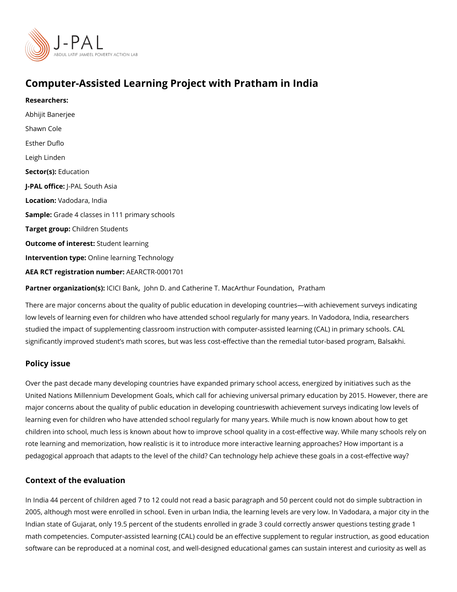# Computer-Assisted Learning Project with Pratham in India

Researchers: [Abhijit Ban](https://www.povertyactionlab.org/person/banerjee)erjee [Shawn C](https://www.povertyactionlab.org/person/cole)ole [Esther D](https://www.povertyactionlab.org/person/duflo)uflo [Leigh Li](https://www.povertyactionlab.org/person/linden)nden Sector(Esolucation J-PAL of Ui-cPeAL South Asia Locatio Wadodara, India SampleGrade 4 classes in 111 primary schools Target gro@bildren Students Outcome of inteSessdent learning Intervention tØ methe learning Technology AEA RCT registration ArEuAnRbCeTR-0001701 Partner organizatli Gh G \$) B[,](https://www.povertyactionlab.org/partners/john-d-and-catherine-t-macarthur-foundation) almo kh n D. and Catherine T. MacArt Finuart I Fra mandation

There are major concerns about the quality of public education in developing countries wi low levels of learning even for children who have attended school regularly for many year studied the impact of supplementing classroom instruction with computer-assisted learnin significantly improved student s math scores, but was less cost-effective than the remedi-

#### Policy issue

Over the past decade many developing countries have expanded primary school access, en United Nations Millennium Development Goals, which call for achieving universal primary major concerns about the quality of public education in developing countrieswith achiever learning even for children who have attended school regularly for many years. While much children into school, much less is known about how to improve school quality in a cost-ef rote learning and memorization, how realistic is it to introduce more interactive learning pedagogical approach that adapts to the level of the child? Can technology help achieve t

#### Context of the evaluation

In India 44 percent of children aged 7 to 12 could not read a basic paragraph and 50 perc 2005, although most were enrolled in school. Even in urban India, the learning levels are Indian state of Gujarat, only 19.5 percent of the students enrolled in grade 3 could corred math competencies. Computer-assisted learning (CAL) could be an effective supplement to software can be reproduced at a nominal cost, and well-designed educational games can s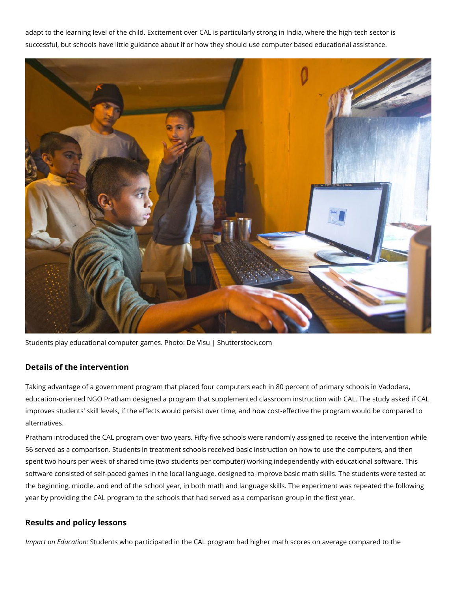adapt to the learning level of the child. Excitement over CAL is particularly strong in India, where the high-tech sector is successful, but schools have little guidance about if or how they should use computer based educational assistance.



Students play educational computer games. Photo: De Visu | Shutterstock.com

## **Details of the intervention**

Taking advantage of a government program that placed four computers each in 80 percent of primary schools in Vadodara, education-oriented NGO Pratham designed a program that supplemented classroom instruction with CAL. The study asked if CAL improves students' skill levels, if the effects would persist over time, and how cost-effective the program would be compared to alternatives.

Pratham introduced the CAL program over two years. Fifty-five schools were randomly assigned to receive the intervention while 56 served as a comparison. Students in treatment schools received basic instruction on how to use the computers, and then spent two hours per week of shared time (two students per computer) working independently with educational software. This software consisted of self-paced games in the local language, designed to improve basic math skills. The students were tested at the beginning, middle, and end of the school year, in both math and language skills. The experiment was repeated the following year by providing the CAL program to the schools that had served as a comparison group in the first year.

### **Results and policy lessons**

*Impact on Education:* Students who participated in the CAL program had higher math scores on average compared to the